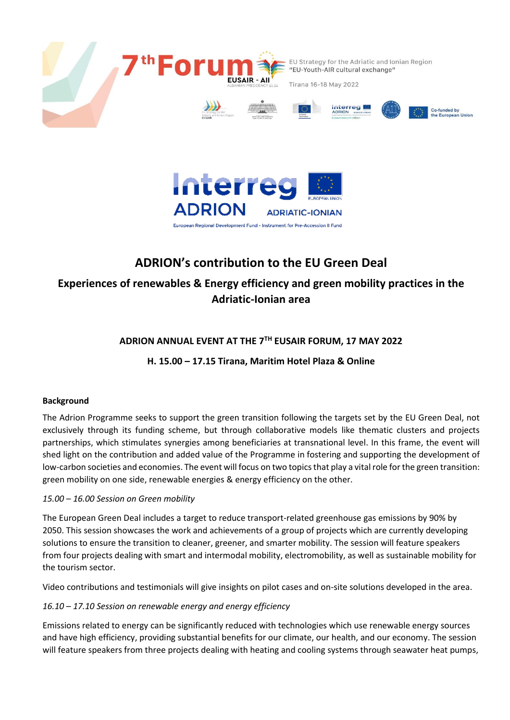



# **ADRION's contribution to the EU Green Deal**

## **Experiences of renewables & Energy efficiency and green mobility practices in the Adriatic-Ionian area**

## **ADRION ANNUAL EVENT AT THE 7TH EUSAIR FORUM, 17 MAY 2022**

**H. 15.00 – 17.15 Tirana, Maritim Hotel Plaza & Online**

#### **Background**

The Adrion Programme seeks to support the green transition following the targets set by the EU Green Deal, not exclusively through its funding scheme, but through collaborative models like thematic clusters and projects partnerships, which stimulates synergies among beneficiaries at transnational level. In this frame, the event will shed light on the contribution and added value of the Programme in fostering and supporting the development of low-carbon societies and economies. The event will focus on two topics that play a vital role for the green transition: green mobility on one side, renewable energies & energy efficiency on the other.

#### *15.00 – 16.00 Session on Green mobility*

The European Green Deal includes a target to reduce transport-related greenhouse gas emissions by 90% by 2050. This session showcases the work and achievements of a group of projects which are currently developing solutions to ensure the transition to cleaner, greener, and smarter mobility. The session will feature speakers from four projects dealing with smart and intermodal mobility, electromobility, as well as sustainable mobility for the tourism sector.

Video contributions and testimonials will give insights on pilot cases and on-site solutions developed in the area.

### *16.10 – 17.10 Session on renewable energy and energy efficiency*

Emissions related to energy can be significantly reduced with technologies which use renewable energy sources and have high efficiency, providing substantial benefits for our climate, our health, and our economy. The session will feature speakers from three projects dealing with heating and cooling systems through seawater heat pumps,